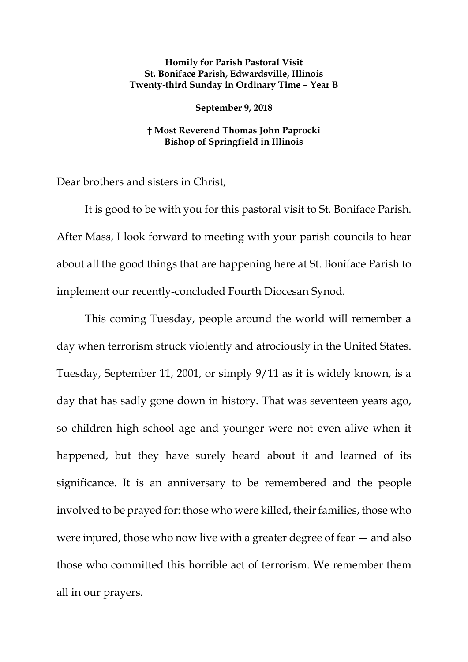## **Homily for Parish Pastoral Visit St. Boniface Parish, Edwardsville, Illinois Twenty-third Sunday in Ordinary Time – Year B**

## **September 9, 2018**

## **† Most Reverend Thomas John Paprocki Bishop of Springfield in Illinois**

Dear brothers and sisters in Christ,

It is good to be with you for this pastoral visit to St. Boniface Parish. After Mass, I look forward to meeting with your parish councils to hear about all the good things that are happening here at St. Boniface Parish to implement our recently-concluded Fourth Diocesan Synod.

This coming Tuesday, people around the world will remember a day when terrorism struck violently and atrociously in the United States. Tuesday, September 11, 2001, or simply 9/11 as it is widely known, is a day that has sadly gone down in history. That was seventeen years ago, so children high school age and younger were not even alive when it happened, but they have surely heard about it and learned of its significance. It is an anniversary to be remembered and the people involved to be prayed for: those who were killed, their families, those who were injured, those who now live with a greater degree of fear — and also those who committed this horrible act of terrorism. We remember them all in our prayers.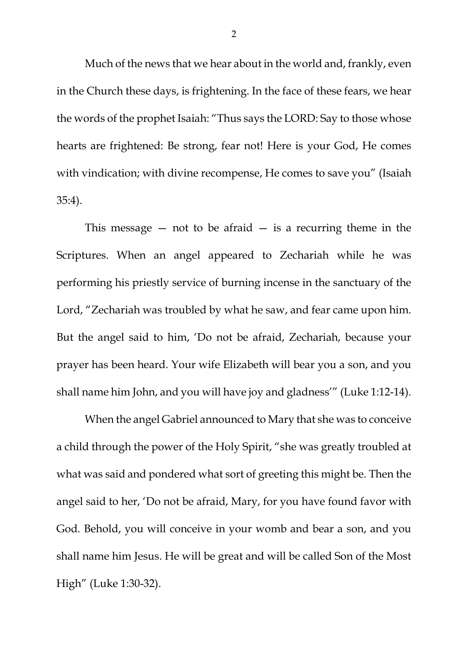Much of the news that we hear about in the world and, frankly, even in the Church these days, is frightening. In the face of these fears, we hear the words of the prophet Isaiah: "Thus says the LORD: Say to those whose hearts are frightened: Be strong, fear not! Here is your God, He comes with vindication; with divine recompense, He comes to save you" (Isaiah 35:4).

This message  $-$  not to be afraid  $-$  is a recurring theme in the Scriptures. When an angel appeared to Zechariah while he was performing his priestly service of burning incense in the sanctuary of the Lord, "Zechariah was troubled by what he saw, and fear came upon him. But the angel said to him, 'Do not be afraid, Zechariah, because your prayer has been heard. Your wife Elizabeth will bear you a son, and you shall name him John, and you will have joy and gladness'" (Luke 1:12-14).

When the angel Gabriel announced to Mary that she was to conceive a child through the power of the Holy Spirit, "she was greatly troubled at what was said and pondered what sort of greeting this might be. Then the angel said to her, 'Do not be afraid, Mary, for you have found favor with God. Behold, you will conceive in your womb and bear a son, and you shall name him Jesus. He will be great and will be called Son of the Most High" (Luke 1:30-32).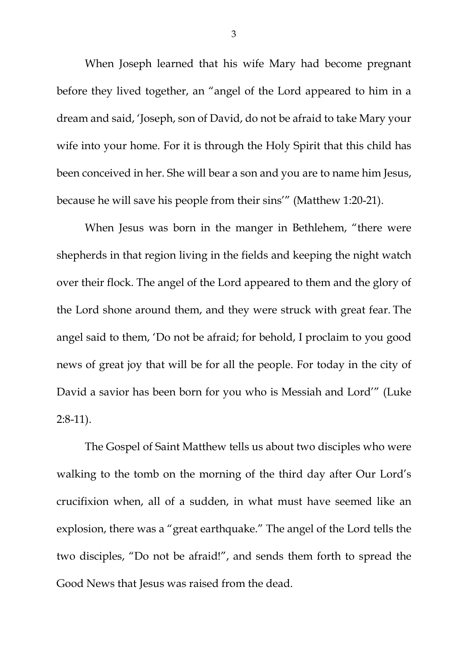When Joseph learned that his wife Mary had become pregnant before they lived together, an "angel of the Lord appeared to him in a dream and said, 'Joseph, son of David, do not be afraid to take Mary your wife into your home. For it is through the Holy Spirit that this child has been conceived in her. She will bear a son and you are to name him Jesus, because he will save his people from their sins'" (Matthew 1:20-21).

When Jesus was born in the manger in Bethlehem, "there were shepherds in that region living in the fields and keeping the night watch over their flock. The angel of the Lord appeared to them and the glory of the Lord shone around them, and they were struck with great fear. The angel said to them, 'Do not be afraid; for behold, I proclaim to you good news of great joy that will be for all the people. For today in the city of David a savior has been born for you who is Messiah and Lord'" (Luke 2:8-11).

The Gospel of Saint Matthew tells us about two disciples who were walking to the tomb on the morning of the third day after Our Lord's crucifixion when, all of a sudden, in what must have seemed like an explosion, there was a "great earthquake." The angel of the Lord tells the two disciples, "Do not be afraid!", and sends them forth to spread the Good News that Jesus was raised from the dead.

3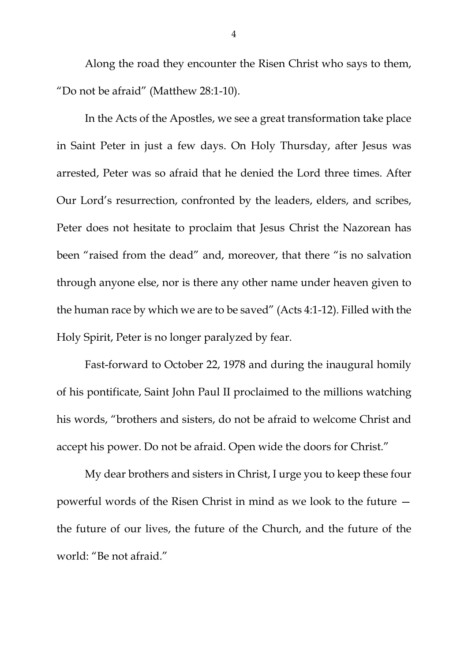Along the road they encounter the Risen Christ who says to them, "Do not be afraid" (Matthew 28:1-10).

In the Acts of the Apostles, we see a great transformation take place in Saint Peter in just a few days. On Holy Thursday, after Jesus was arrested, Peter was so afraid that he denied the Lord three times. After Our Lord's resurrection, confronted by the leaders, elders, and scribes, Peter does not hesitate to proclaim that Jesus Christ the Nazorean has been "raised from the dead" and, moreover, that there "is no salvation through anyone else, nor is there any other name under heaven given to the human race by which we are to be saved" (Acts 4:1-12). Filled with the Holy Spirit, Peter is no longer paralyzed by fear.

Fast-forward to October 22, 1978 and during the inaugural homily of his pontificate, Saint John Paul II proclaimed to the millions watching his words, "brothers and sisters, do not be afraid to welcome Christ and accept his power. Do not be afraid. Open wide the doors for Christ."

My dear brothers and sisters in Christ, I urge you to keep these four powerful words of the Risen Christ in mind as we look to the future the future of our lives, the future of the Church, and the future of the world: "Be not afraid."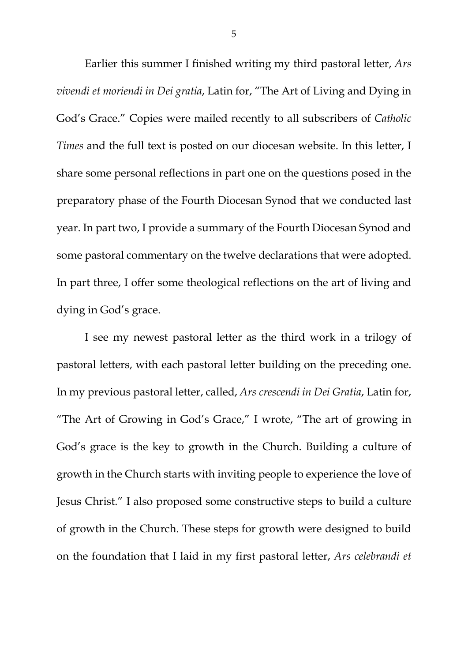Earlier this summer I finished writing my third pastoral letter, *Ars vivendi et moriendi in Dei gratia*, Latin for, "The Art of Living and Dying in God's Grace." Copies were mailed recently to all subscribers of *Catholic Times* and the full text is posted on our diocesan website. In this letter, I share some personal reflections in part one on the questions posed in the preparatory phase of the Fourth Diocesan Synod that we conducted last year. In part two, I provide a summary of the Fourth Diocesan Synod and some pastoral commentary on the twelve declarations that were adopted. In part three, I offer some theological reflections on the art of living and dying in God's grace.

I see my newest pastoral letter as the third work in a trilogy of pastoral letters, with each pastoral letter building on the preceding one. In my previous pastoral letter, called, *Ars crescendi in Dei Gratia*, Latin for, "The Art of Growing in God's Grace," I wrote, "The art of growing in God's grace is the key to growth in the Church. Building a culture of growth in the Church starts with inviting people to experience the love of Jesus Christ." I also proposed some constructive steps to build a culture of growth in the Church. These steps for growth were designed to build on the foundation that I laid in my first pastoral letter, *Ars celebrandi et*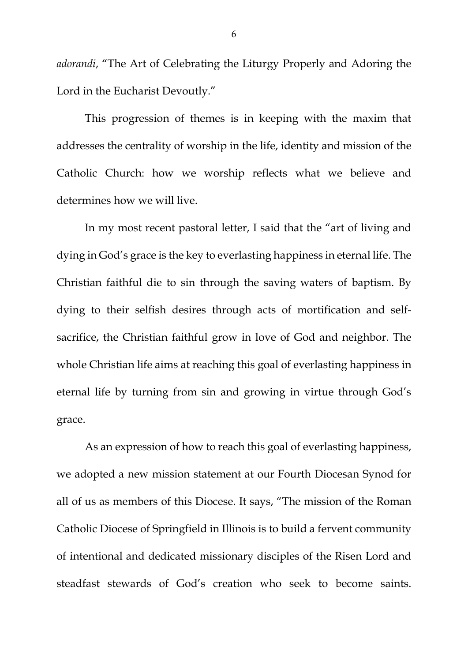*adorandi*, "The Art of Celebrating the Liturgy Properly and Adoring the Lord in the Eucharist Devoutly."

This progression of themes is in keeping with the maxim that addresses the centrality of worship in the life, identity and mission of the Catholic Church: how we worship reflects what we believe and determines how we will live.

In my most recent pastoral letter, I said that the "art of living and dying in God's grace is the key to everlasting happiness in eternal life. The Christian faithful die to sin through the saving waters of baptism. By dying to their selfish desires through acts of mortification and selfsacrifice, the Christian faithful grow in love of God and neighbor. The whole Christian life aims at reaching this goal of everlasting happiness in eternal life by turning from sin and growing in virtue through God's grace.

<span id="page-5-0"></span>As an expression of how to reach this goal of everlasting happiness, we adopted a new mission statement at our Fourth Diocesan Synod for all of us as members of this Diocese. It says, "The mission of the Roman Catholic Diocese of Springfield in Illinois is to build a fervent community of intentional and dedicated missionary disciples of the Risen Lord and steadfast stewards of God's creation who seek to become saints.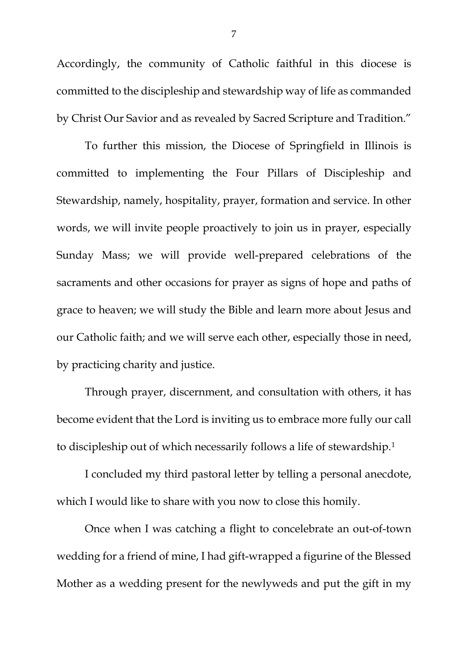Accordingly, the community of Catholic faithful in this diocese is committed to the discipleship and stewardship way of life as commanded by Christ Our Savior and as revealed by Sacred Scripture and Tradition."

To further this mission, the Diocese of Springfield in Illinois is committed to implementing the Four Pillars of Discipleship and Stewardship, namely, hospitality, prayer, formation and service. In other words, we will invite people proactively to join us in prayer, especially Sunday Mass; we will provide well-prepared celebrations of the sacraments and other occasions for prayer as signs of hope and paths of grace to heaven; we will study the Bible and learn more about Jesus and our Catholic faith; and we will serve each other, especially those in need, by practicing charity and justice.

Through prayer, discernment, and consultation with others, it has become evident that the Lord is inviting us to embrace more fully our call to discipleship out of which necessarily follows a life of stewardship.[1](#page-5-0)

I concluded my third pastoral letter by telling a personal anecdote, which I would like to share with you now to close this homily.

Once when I was catching a flight to concelebrate an out-of-town wedding for a friend of mine, I had gift-wrapped a figurine of the Blessed Mother as a wedding present for the newlyweds and put the gift in my